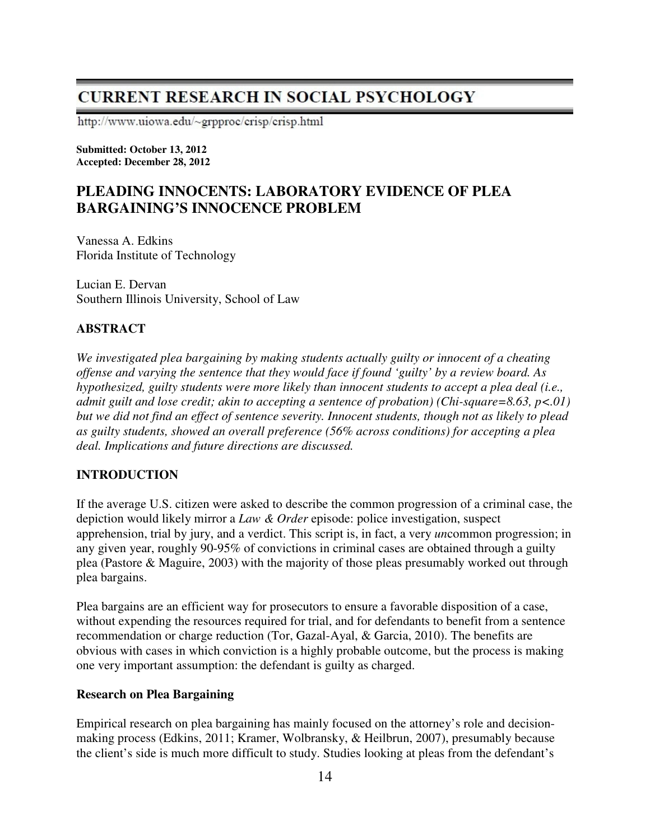# **CURRENT RESEARCH IN SOCIAL PSYCHOLOGY**

http://www.uiowa.edu/~grpproc/crisp/crisp.html

**Submitted: October 13, 2012 Accepted: December 28, 2012** 

# **PLEADING INNOCENTS: LABORATORY EVIDENCE OF PLEA BARGAINING'S INNOCENCE PROBLEM**

Vanessa A. Edkins Florida Institute of Technology

Lucian E. Dervan Southern Illinois University, School of Law

# **ABSTRACT**

*We investigated plea bargaining by making students actually guilty or innocent of a cheating offense and varying the sentence that they would face if found 'guilty' by a review board. As hypothesized, guilty students were more likely than innocent students to accept a plea deal (i.e., admit guilt and lose credit; akin to accepting a sentence of probation) (Chi-square=8.63, p<.01) but we did not find an effect of sentence severity. Innocent students, though not as likely to plead as guilty students, showed an overall preference (56% across conditions) for accepting a plea deal. Implications and future directions are discussed.* 

# **INTRODUCTION**

If the average U.S. citizen were asked to describe the common progression of a criminal case, the depiction would likely mirror a *Law & Order* episode: police investigation, suspect apprehension, trial by jury, and a verdict. This script is, in fact, a very *un*common progression; in any given year, roughly 90-95% of convictions in criminal cases are obtained through a guilty plea (Pastore & Maguire, 2003) with the majority of those pleas presumably worked out through plea bargains.

Plea bargains are an efficient way for prosecutors to ensure a favorable disposition of a case, without expending the resources required for trial, and for defendants to benefit from a sentence recommendation or charge reduction (Tor, Gazal-Ayal, & Garcia, 2010). The benefits are obvious with cases in which conviction is a highly probable outcome, but the process is making one very important assumption: the defendant is guilty as charged.

## **Research on Plea Bargaining**

Empirical research on plea bargaining has mainly focused on the attorney's role and decisionmaking process (Edkins, 2011; Kramer, Wolbransky, & Heilbrun, 2007), presumably because the client's side is much more difficult to study. Studies looking at pleas from the defendant's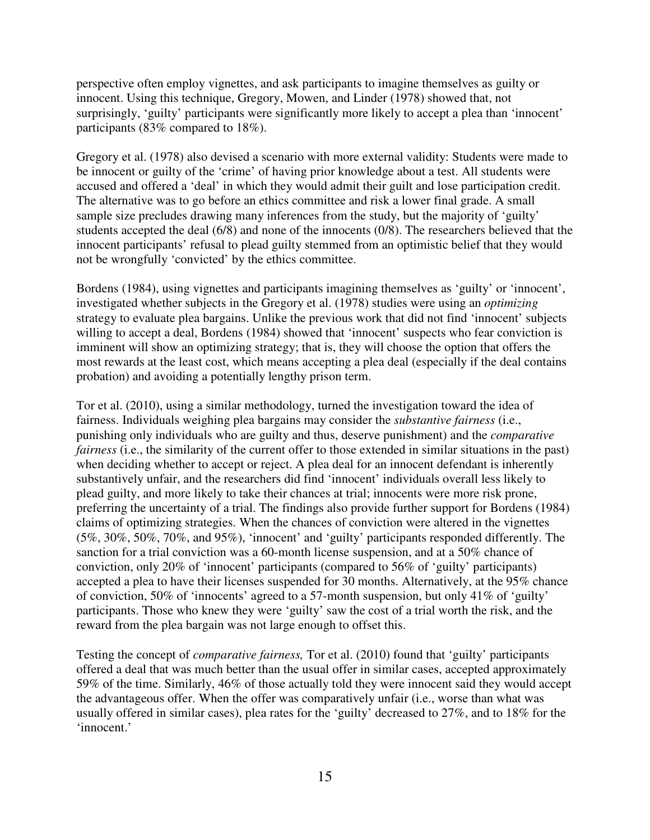perspective often employ vignettes, and ask participants to imagine themselves as guilty or innocent. Using this technique, Gregory, Mowen, and Linder (1978) showed that, not surprisingly, 'guilty' participants were significantly more likely to accept a plea than 'innocent' participants (83% compared to 18%).

Gregory et al. (1978) also devised a scenario with more external validity: Students were made to be innocent or guilty of the 'crime' of having prior knowledge about a test. All students were accused and offered a 'deal' in which they would admit their guilt and lose participation credit. The alternative was to go before an ethics committee and risk a lower final grade. A small sample size precludes drawing many inferences from the study, but the majority of 'guilty' students accepted the deal (6/8) and none of the innocents (0/8). The researchers believed that the innocent participants' refusal to plead guilty stemmed from an optimistic belief that they would not be wrongfully 'convicted' by the ethics committee.

Bordens (1984), using vignettes and participants imagining themselves as 'guilty' or 'innocent', investigated whether subjects in the Gregory et al. (1978) studies were using an *optimizing* strategy to evaluate plea bargains. Unlike the previous work that did not find 'innocent' subjects willing to accept a deal, Bordens (1984) showed that 'innocent' suspects who fear conviction is imminent will show an optimizing strategy; that is, they will choose the option that offers the most rewards at the least cost, which means accepting a plea deal (especially if the deal contains probation) and avoiding a potentially lengthy prison term.

Tor et al. (2010), using a similar methodology, turned the investigation toward the idea of fairness. Individuals weighing plea bargains may consider the *substantive fairness* (i.e., punishing only individuals who are guilty and thus, deserve punishment) and the *comparative fairness* (i.e., the similarity of the current offer to those extended in similar situations in the past) when deciding whether to accept or reject. A plea deal for an innocent defendant is inherently substantively unfair, and the researchers did find 'innocent' individuals overall less likely to plead guilty, and more likely to take their chances at trial; innocents were more risk prone, preferring the uncertainty of a trial. The findings also provide further support for Bordens (1984) claims of optimizing strategies. When the chances of conviction were altered in the vignettes (5%, 30%, 50%, 70%, and 95%), 'innocent' and 'guilty' participants responded differently. The sanction for a trial conviction was a 60-month license suspension, and at a 50% chance of conviction, only 20% of 'innocent' participants (compared to 56% of 'guilty' participants) accepted a plea to have their licenses suspended for 30 months. Alternatively, at the 95% chance of conviction, 50% of 'innocents' agreed to a 57-month suspension, but only 41% of 'guilty' participants. Those who knew they were 'guilty' saw the cost of a trial worth the risk, and the reward from the plea bargain was not large enough to offset this.

Testing the concept of *comparative fairness,* Tor et al. (2010) found that 'guilty' participants offered a deal that was much better than the usual offer in similar cases, accepted approximately 59% of the time. Similarly, 46% of those actually told they were innocent said they would accept the advantageous offer. When the offer was comparatively unfair (i.e., worse than what was usually offered in similar cases), plea rates for the 'guilty' decreased to 27%, and to 18% for the 'innocent.'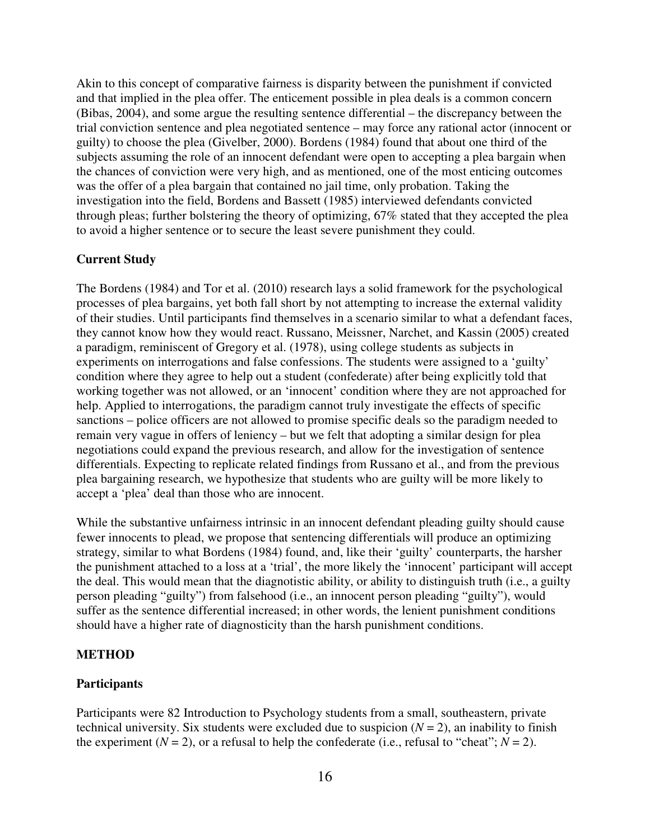Akin to this concept of comparative fairness is disparity between the punishment if convicted and that implied in the plea offer. The enticement possible in plea deals is a common concern (Bibas, 2004), and some argue the resulting sentence differential – the discrepancy between the trial conviction sentence and plea negotiated sentence – may force any rational actor (innocent or guilty) to choose the plea (Givelber, 2000). Bordens (1984) found that about one third of the subjects assuming the role of an innocent defendant were open to accepting a plea bargain when the chances of conviction were very high, and as mentioned, one of the most enticing outcomes was the offer of a plea bargain that contained no jail time, only probation. Taking the investigation into the field, Bordens and Bassett (1985) interviewed defendants convicted through pleas; further bolstering the theory of optimizing, 67% stated that they accepted the plea to avoid a higher sentence or to secure the least severe punishment they could.

#### **Current Study**

The Bordens (1984) and Tor et al. (2010) research lays a solid framework for the psychological processes of plea bargains, yet both fall short by not attempting to increase the external validity of their studies. Until participants find themselves in a scenario similar to what a defendant faces, they cannot know how they would react. Russano, Meissner, Narchet, and Kassin (2005) created a paradigm, reminiscent of Gregory et al. (1978), using college students as subjects in experiments on interrogations and false confessions. The students were assigned to a 'guilty' condition where they agree to help out a student (confederate) after being explicitly told that working together was not allowed, or an 'innocent' condition where they are not approached for help. Applied to interrogations, the paradigm cannot truly investigate the effects of specific sanctions – police officers are not allowed to promise specific deals so the paradigm needed to remain very vague in offers of leniency – but we felt that adopting a similar design for plea negotiations could expand the previous research, and allow for the investigation of sentence differentials. Expecting to replicate related findings from Russano et al., and from the previous plea bargaining research, we hypothesize that students who are guilty will be more likely to accept a 'plea' deal than those who are innocent.

While the substantive unfairness intrinsic in an innocent defendant pleading guilty should cause fewer innocents to plead, we propose that sentencing differentials will produce an optimizing strategy, similar to what Bordens (1984) found, and, like their 'guilty' counterparts, the harsher the punishment attached to a loss at a 'trial', the more likely the 'innocent' participant will accept the deal. This would mean that the diagnotistic ability, or ability to distinguish truth (i.e., a guilty person pleading "guilty") from falsehood (i.e., an innocent person pleading "guilty"), would suffer as the sentence differential increased; in other words, the lenient punishment conditions should have a higher rate of diagnosticity than the harsh punishment conditions.

#### **METHOD**

#### **Participants**

Participants were 82 Introduction to Psychology students from a small, southeastern, private technical university. Six students were excluded due to suspicion  $(N = 2)$ , an inability to finish the experiment  $(N = 2)$ , or a refusal to help the confederate (i.e., refusal to "cheat";  $N = 2$ ).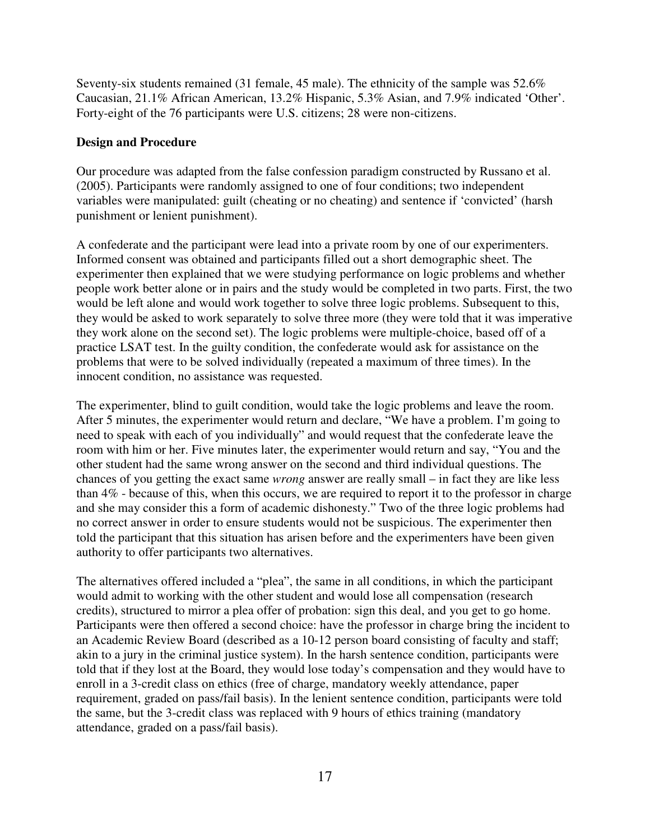Seventy-six students remained (31 female, 45 male). The ethnicity of the sample was 52.6% Caucasian, 21.1% African American, 13.2% Hispanic, 5.3% Asian, and 7.9% indicated 'Other'. Forty-eight of the 76 participants were U.S. citizens; 28 were non-citizens.

### **Design and Procedure**

Our procedure was adapted from the false confession paradigm constructed by Russano et al. (2005). Participants were randomly assigned to one of four conditions; two independent variables were manipulated: guilt (cheating or no cheating) and sentence if 'convicted' (harsh punishment or lenient punishment).

A confederate and the participant were lead into a private room by one of our experimenters. Informed consent was obtained and participants filled out a short demographic sheet. The experimenter then explained that we were studying performance on logic problems and whether people work better alone or in pairs and the study would be completed in two parts. First, the two would be left alone and would work together to solve three logic problems. Subsequent to this, they would be asked to work separately to solve three more (they were told that it was imperative they work alone on the second set). The logic problems were multiple-choice, based off of a practice LSAT test. In the guilty condition, the confederate would ask for assistance on the problems that were to be solved individually (repeated a maximum of three times). In the innocent condition, no assistance was requested.

The experimenter, blind to guilt condition, would take the logic problems and leave the room. After 5 minutes, the experimenter would return and declare, "We have a problem. I'm going to need to speak with each of you individually" and would request that the confederate leave the room with him or her. Five minutes later, the experimenter would return and say, "You and the other student had the same wrong answer on the second and third individual questions. The chances of you getting the exact same *wrong* answer are really small – in fact they are like less than 4% - because of this, when this occurs, we are required to report it to the professor in charge and she may consider this a form of academic dishonesty." Two of the three logic problems had no correct answer in order to ensure students would not be suspicious. The experimenter then told the participant that this situation has arisen before and the experimenters have been given authority to offer participants two alternatives.

The alternatives offered included a "plea", the same in all conditions, in which the participant would admit to working with the other student and would lose all compensation (research credits), structured to mirror a plea offer of probation: sign this deal, and you get to go home. Participants were then offered a second choice: have the professor in charge bring the incident to an Academic Review Board (described as a 10-12 person board consisting of faculty and staff; akin to a jury in the criminal justice system). In the harsh sentence condition, participants were told that if they lost at the Board, they would lose today's compensation and they would have to enroll in a 3-credit class on ethics (free of charge, mandatory weekly attendance, paper requirement, graded on pass/fail basis). In the lenient sentence condition, participants were told the same, but the 3-credit class was replaced with 9 hours of ethics training (mandatory attendance, graded on a pass/fail basis).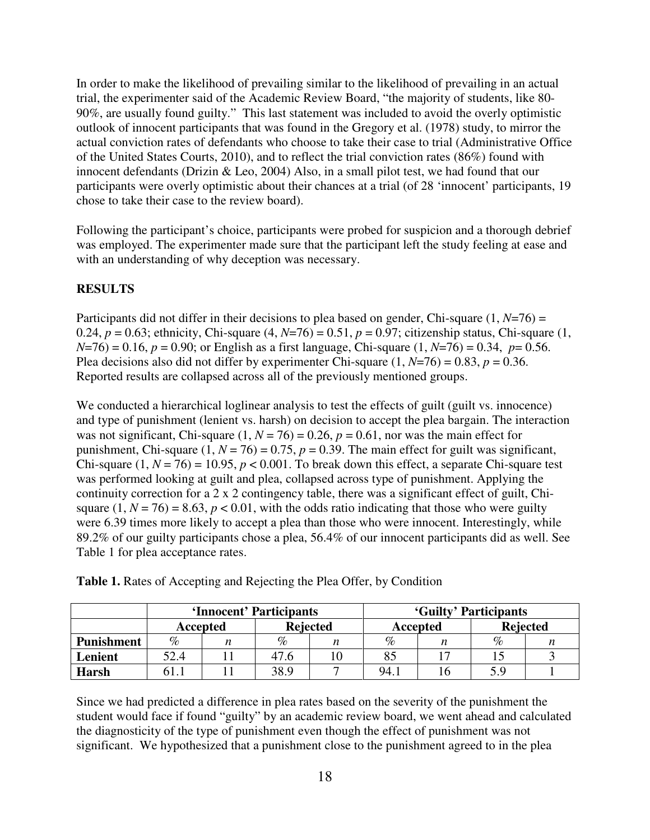In order to make the likelihood of prevailing similar to the likelihood of prevailing in an actual trial, the experimenter said of the Academic Review Board, "the majority of students, like 80- 90%, are usually found guilty." This last statement was included to avoid the overly optimistic outlook of innocent participants that was found in the Gregory et al. (1978) study, to mirror the actual conviction rates of defendants who choose to take their case to trial (Administrative Office of the United States Courts, 2010), and to reflect the trial conviction rates (86%) found with innocent defendants (Drizin & Leo, 2004) Also, in a small pilot test, we had found that our participants were overly optimistic about their chances at a trial (of 28 'innocent' participants, 19 chose to take their case to the review board).

Following the participant's choice, participants were probed for suspicion and a thorough debrief was employed. The experimenter made sure that the participant left the study feeling at ease and with an understanding of why deception was necessary.

### **RESULTS**

Participants did not differ in their decisions to plea based on gender, Chi-square (1, *N*=76) = 0.24,  $p = 0.63$ ; ethnicity, Chi-square  $(4, N=76) = 0.51$ ,  $p = 0.97$ ; citizenship status, Chi-square  $(1, N=76)$  $N=76$ ) = 0.16,  $p = 0.90$ ; or English as a first language, Chi-square (1,  $N=76$ ) = 0.34,  $p= 0.56$ . Plea decisions also did not differ by experimenter Chi-square  $(1, N=76) = 0.83$ ,  $p = 0.36$ . Reported results are collapsed across all of the previously mentioned groups.

We conducted a hierarchical loglinear analysis to test the effects of guilt (guilt vs. innocence) and type of punishment (lenient vs. harsh) on decision to accept the plea bargain. The interaction was not significant, Chi-square  $(1, N = 76) = 0.26$ ,  $p = 0.61$ , nor was the main effect for punishment, Chi-square  $(1, N = 76) = 0.75$ ,  $p = 0.39$ . The main effect for guilt was significant, Chi-square  $(1, N = 76) = 10.95$ ,  $p < 0.001$ . To break down this effect, a separate Chi-square test was performed looking at guilt and plea, collapsed across type of punishment. Applying the continuity correction for a 2 x 2 contingency table, there was a significant effect of guilt, Chisquare  $(1, N = 76) = 8.63$ ,  $p < 0.01$ , with the odds ratio indicating that those who were guilty were 6.39 times more likely to accept a plea than those who were innocent. Interestingly, while 89.2% of our guilty participants chose a plea, 56.4% of our innocent participants did as well. See Table 1 for plea acceptance rates.

|                   | 'Innocent' Participants |  |                 |  | 'Guilty' Participants |  |                 |  |
|-------------------|-------------------------|--|-----------------|--|-----------------------|--|-----------------|--|
|                   | Accepted                |  | <b>Rejected</b> |  | Accepted              |  | <b>Rejected</b> |  |
| <b>Punishment</b> | %                       |  | %               |  | $\%$                  |  | %               |  |
| Lenient           | 52.4                    |  | 47.6            |  |                       |  |                 |  |
| <b>Harsh</b>      | ו ר.                    |  | 38.9            |  | 94.                   |  | 5.9             |  |

**Table 1.** Rates of Accepting and Rejecting the Plea Offer, by Condition

Since we had predicted a difference in plea rates based on the severity of the punishment the student would face if found "guilty" by an academic review board, we went ahead and calculated the diagnosticity of the type of punishment even though the effect of punishment was not significant. We hypothesized that a punishment close to the punishment agreed to in the plea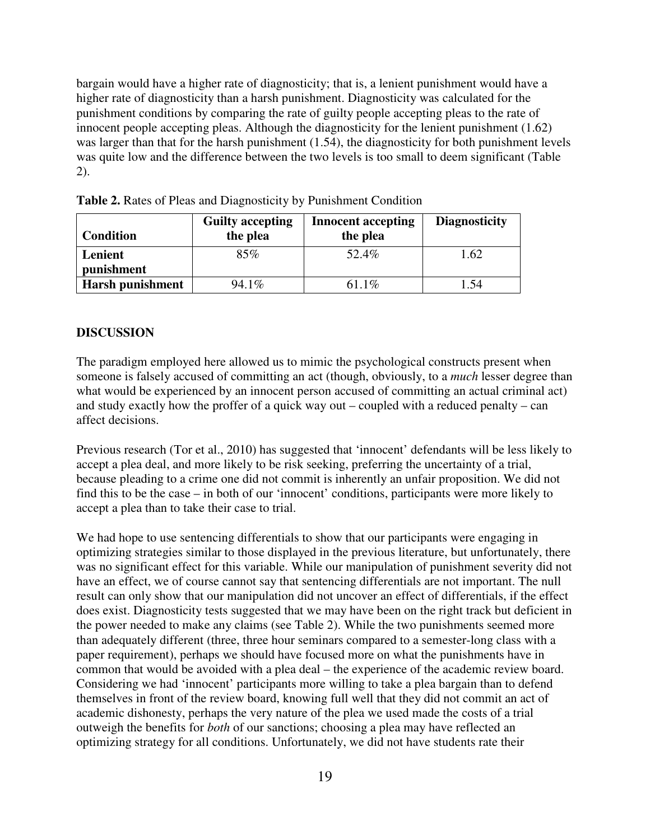bargain would have a higher rate of diagnosticity; that is, a lenient punishment would have a higher rate of diagnosticity than a harsh punishment. Diagnosticity was calculated for the punishment conditions by comparing the rate of guilty people accepting pleas to the rate of innocent people accepting pleas. Although the diagnosticity for the lenient punishment (1.62) was larger than that for the harsh punishment (1.54), the diagnosticity for both punishment levels was quite low and the difference between the two levels is too small to deem significant (Table 2).

| <b>Condition</b> | <b>Guilty accepting</b><br>the plea | <b>Innocent accepting</b><br>the plea | <b>Diagnosticity</b> |
|------------------|-------------------------------------|---------------------------------------|----------------------|
| Lenient          | 85%                                 | 52.4%                                 | 1.62                 |
| punishment       |                                     |                                       |                      |
| Harsh punishment | $94.1\%$                            | 61.1\%                                | 1.54                 |

**Table 2.** Rates of Pleas and Diagnosticity by Punishment Condition

#### **DISCUSSION**

The paradigm employed here allowed us to mimic the psychological constructs present when someone is falsely accused of committing an act (though, obviously, to a *much* lesser degree than what would be experienced by an innocent person accused of committing an actual criminal act) and study exactly how the proffer of a quick way out – coupled with a reduced penalty – can affect decisions.

Previous research (Tor et al., 2010) has suggested that 'innocent' defendants will be less likely to accept a plea deal, and more likely to be risk seeking, preferring the uncertainty of a trial, because pleading to a crime one did not commit is inherently an unfair proposition. We did not find this to be the case – in both of our 'innocent' conditions, participants were more likely to accept a plea than to take their case to trial.

We had hope to use sentencing differentials to show that our participants were engaging in optimizing strategies similar to those displayed in the previous literature, but unfortunately, there was no significant effect for this variable. While our manipulation of punishment severity did not have an effect, we of course cannot say that sentencing differentials are not important. The null result can only show that our manipulation did not uncover an effect of differentials, if the effect does exist. Diagnosticity tests suggested that we may have been on the right track but deficient in the power needed to make any claims (see Table 2). While the two punishments seemed more than adequately different (three, three hour seminars compared to a semester-long class with a paper requirement), perhaps we should have focused more on what the punishments have in common that would be avoided with a plea deal – the experience of the academic review board. Considering we had 'innocent' participants more willing to take a plea bargain than to defend themselves in front of the review board, knowing full well that they did not commit an act of academic dishonesty, perhaps the very nature of the plea we used made the costs of a trial outweigh the benefits for *both* of our sanctions; choosing a plea may have reflected an optimizing strategy for all conditions. Unfortunately, we did not have students rate their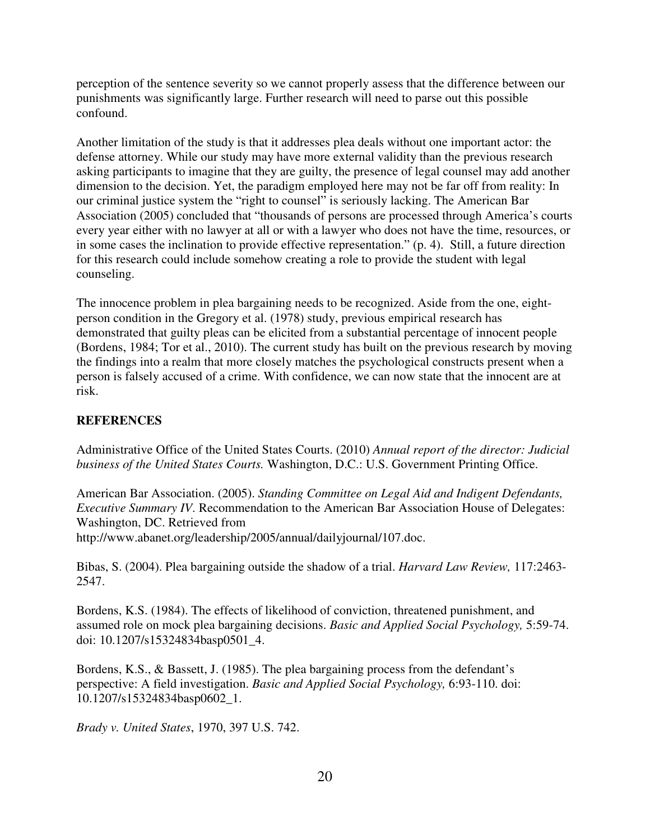perception of the sentence severity so we cannot properly assess that the difference between our punishments was significantly large. Further research will need to parse out this possible confound.

Another limitation of the study is that it addresses plea deals without one important actor: the defense attorney. While our study may have more external validity than the previous research asking participants to imagine that they are guilty, the presence of legal counsel may add another dimension to the decision. Yet, the paradigm employed here may not be far off from reality: In our criminal justice system the "right to counsel" is seriously lacking. The American Bar Association (2005) concluded that "thousands of persons are processed through America's courts every year either with no lawyer at all or with a lawyer who does not have the time, resources, or in some cases the inclination to provide effective representation." (p. 4). Still, a future direction for this research could include somehow creating a role to provide the student with legal counseling.

The innocence problem in plea bargaining needs to be recognized. Aside from the one, eightperson condition in the Gregory et al. (1978) study, previous empirical research has demonstrated that guilty pleas can be elicited from a substantial percentage of innocent people (Bordens, 1984; Tor et al., 2010). The current study has built on the previous research by moving the findings into a realm that more closely matches the psychological constructs present when a person is falsely accused of a crime. With confidence, we can now state that the innocent are at risk.

# **REFERENCES**

Administrative Office of the United States Courts. (2010) *Annual report of the director: Judicial business of the United States Courts.* Washington, D.C.: U.S. Government Printing Office.

American Bar Association. (2005). *Standing Committee on Legal Aid and Indigent Defendants, Executive Summary IV.* Recommendation to the American Bar Association House of Delegates: Washington, DC. Retrieved from http://www.abanet.org/leadership/2005/annual/dailyjournal/107.doc.

Bibas, S. (2004). Plea bargaining outside the shadow of a trial. *Harvard Law Review,* 117:2463- 2547.

Bordens, K.S. (1984). The effects of likelihood of conviction, threatened punishment, and assumed role on mock plea bargaining decisions. *Basic and Applied Social Psychology,* 5:59-74. doi: 10.1207/s15324834basp0501\_4.

Bordens, K.S., & Bassett, J. (1985). The plea bargaining process from the defendant's perspective: A field investigation. *Basic and Applied Social Psychology,* 6:93-110. doi: 10.1207/s15324834basp0602\_1.

*Brady v. United States*, 1970, 397 U.S. 742.